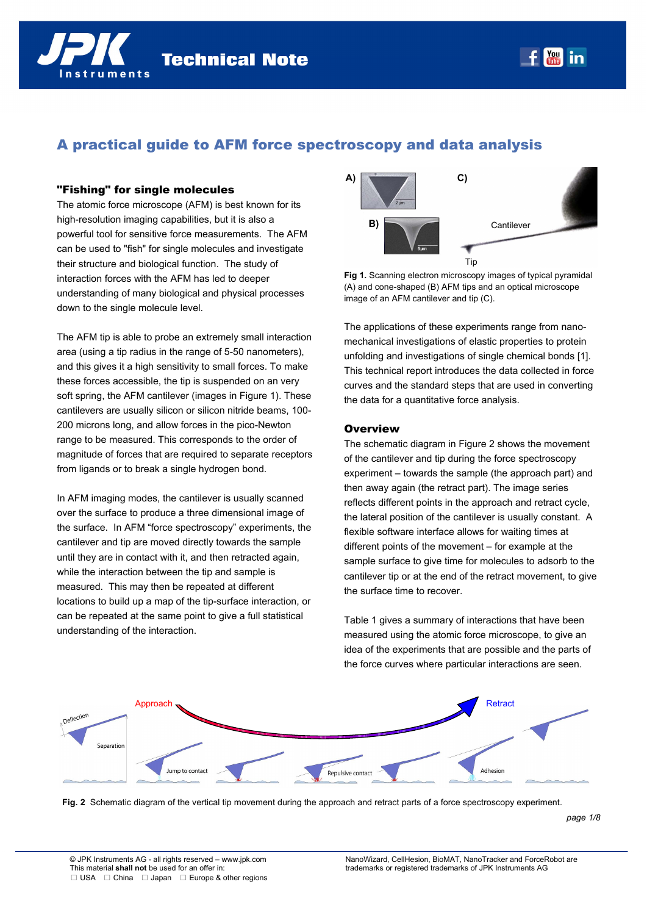# A practical guide to AFM force spectroscopy and data analysis

#### "Fishing" for single molecules

The atomic force microscope (AFM) is best known for its high-resolution imaging capabilities, but it is also a powerful tool for sensitive force measurements. The AFM can be used to "fish" for single molecules and investigate their structure and biological function. The study of interaction forces with the AFM has led to deeper understanding of many biological and physical processes down to the single molecule level.

The AFM tip is able to probe an extremely small interaction area (using a tip radius in the range of 5-50 nanometers), and this gives it a high sensitivity to small forces. To make these forces accessible, the tip is suspended on an very soft spring, the AFM cantilever (images in Figure 1). These cantilevers are usually silicon or silicon nitride beams, 100- 200 microns long, and allow forces in the pico-Newton range to be measured. This corresponds to the order of magnitude of forces that are required to separate receptors from ligands or to break a single hydrogen bond.

In AFM imaging modes, the cantilever is usually scanned over the surface to produce a three dimensional image of the surface. In AFM "force spectroscopy" experiments, the cantilever and tip are moved directly towards the sample until they are in contact with it, and then retracted again, while the interaction between the tip and sample is measured. This may then be repeated at different locations to build up a map of the tip-surface interaction, or can be repeated at the same point to give a full statistical understanding of the interaction.



**You in** 

**Fig 1.** Scanning electron microscopy images of typical pyramidal (A) and cone-shaped (B) AFM tips and an optical microscope image of an AFM cantilever and tip (C).

The applications of these experiments range from nanomechanical investigations of elastic properties to protein unfolding and investigations of single chemical bonds [1]. This technical report introduces the data collected in force curves and the standard steps that are used in converting the data for a quantitative force analysis.

#### **Overview**

The schematic diagram in Figure 2 shows the movement of the cantilever and tip during the force spectroscopy experiment – towards the sample (the approach part) and then away again (the retract part). The image series reflects different points in the approach and retract cycle, the lateral position of the cantilever is usually constant. A flexible software interface allows for waiting times at different points of the movement – for example at the sample surface to give time for molecules to adsorb to the cantilever tip or at the end of the retract movement, to give the surface time to recover.

Table 1 gives a summary of interactions that have been measured using the atomic force microscope, to give an idea of the experiments that are possible and the parts of the force curves where particular interactions are seen.



**Fig. 2** Schematic diagram of the vertical tip movement during the approach and retract parts of a force spectroscopy experiment.

*page 1/8*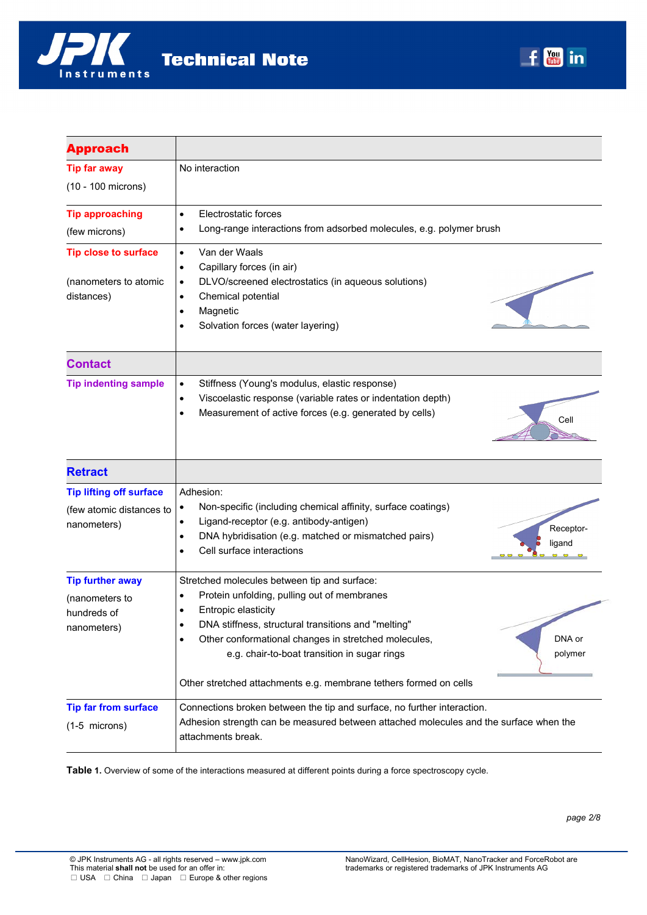

| <b>Approach</b>                         |                                                                                       |
|-----------------------------------------|---------------------------------------------------------------------------------------|
| <b>Tip far away</b>                     | No interaction                                                                        |
| (10 - 100 microns)                      |                                                                                       |
| <b>Tip approaching</b>                  | Electrostatic forces<br>$\bullet$                                                     |
| (few microns)                           | Long-range interactions from adsorbed molecules, e.g. polymer brush                   |
| <b>Tip close to surface</b>             | Van der Waals<br>$\bullet$                                                            |
|                                         | Capillary forces (in air)<br>٠                                                        |
| (nanometers to atomic                   | DLVO/screened electrostatics (in aqueous solutions)<br>$\bullet$                      |
| distances)                              | Chemical potential<br>$\bullet$                                                       |
|                                         | Magnetic<br>$\bullet$                                                                 |
|                                         | Solvation forces (water layering)                                                     |
| <b>Contact</b>                          |                                                                                       |
| <b>Tip indenting sample</b>             | Stiffness (Young's modulus, elastic response)<br>$\bullet$                            |
|                                         | Viscoelastic response (variable rates or indentation depth)<br>$\bullet$              |
|                                         | Measurement of active forces (e.g. generated by cells)<br>$\bullet$<br>Cell           |
|                                         |                                                                                       |
| <b>Retract</b>                          |                                                                                       |
| <b>Tip lifting off surface</b>          | Adhesion:                                                                             |
| (few atomic distances to<br>nanometers) | Non-specific (including chemical affinity, surface coatings)<br>$\bullet$             |
|                                         | Ligand-receptor (e.g. antibody-antigen)<br>$\bullet$<br>Receptor-                     |
|                                         | DNA hybridisation (e.g. matched or mismatched pairs)<br>$\bullet$<br>ligand           |
|                                         | Cell surface interactions                                                             |
| <b>Tip further away</b>                 | Stretched molecules between tip and surface:                                          |
| (nanometers to                          | Protein unfolding, pulling out of membranes                                           |
| hundreds of                             | Entropic elasticity                                                                   |
| nanometers)                             | DNA stiffness, structural transitions and "melting"                                   |
|                                         | Other conformational changes in stretched molecules,<br>DNA or                        |
|                                         | e.g. chair-to-boat transition in sugar rings<br>polymer                               |
|                                         | Other stretched attachments e.g. membrane tethers formed on cells                     |
| <b>Tip far from surface</b>             | Connections broken between the tip and surface, no further interaction.               |
| $(1-5$ microns)                         | Adhesion strength can be measured between attached molecules and the surface when the |
|                                         | attachments break.                                                                    |

**Table 1.** Overview of some of the interactions measured at different points during a force spectroscopy cycle.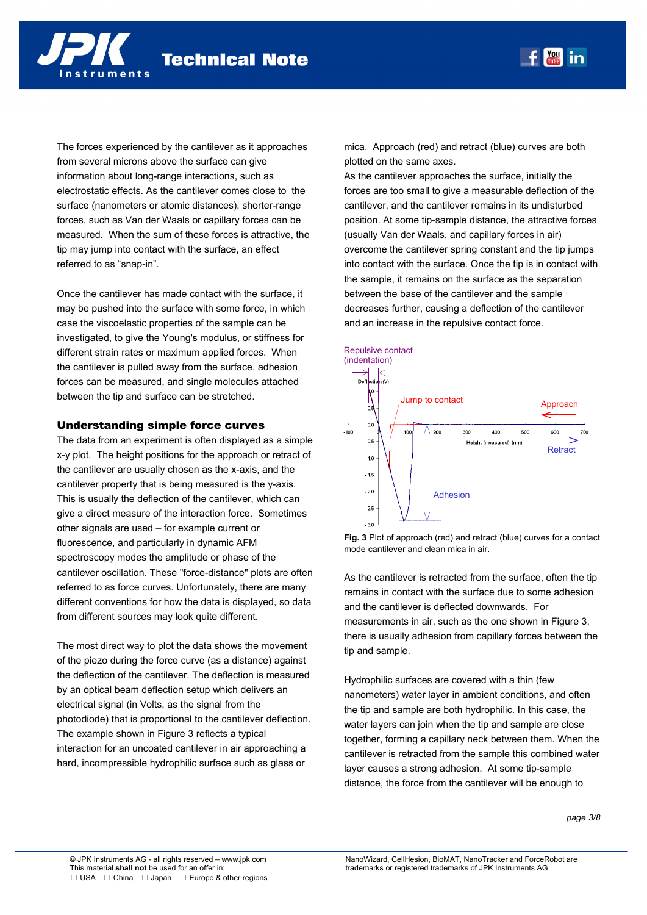

The forces experienced by the cantilever as it approaches from several microns above the surface can give information about long-range interactions, such as electrostatic effects. As the cantilever comes close to the surface (nanometers or atomic distances), shorter-range forces, such as Van der Waals or capillary forces can be measured. When the sum of these forces is attractive, the tip may jump into contact with the surface, an effect referred to as "snap-in".

Once the cantilever has made contact with the surface, it may be pushed into the surface with some force, in which case the viscoelastic properties of the sample can be investigated, to give the Young's modulus, or stiffness for different strain rates or maximum applied forces. When the cantilever is pulled away from the surface, adhesion forces can be measured, and single molecules attached between the tip and surface can be stretched.

## Understanding simple force curves

The data from an experiment is often displayed as a simple x-y plot. The height positions for the approach or retract of the cantilever are usually chosen as the x-axis, and the cantilever property that is being measured is the y-axis. This is usually the deflection of the cantilever, which can give a direct measure of the interaction force. Sometimes other signals are used – for example current or fluorescence, and particularly in dynamic AFM spectroscopy modes the amplitude or phase of the cantilever oscillation. These "force-distance" plots are often referred to as force curves. Unfortunately, there are many different conventions for how the data is displayed, so data from different sources may look quite different.

The most direct way to plot the data shows the movement of the piezo during the force curve (as a distance) against the deflection of the cantilever. The deflection is measured by an optical beam deflection setup which delivers an electrical signal (in Volts, as the signal from the photodiode) that is proportional to the cantilever deflection. The example shown in Figure 3 reflects a typical interaction for an uncoated cantilever in air approaching a hard, incompressible hydrophilic surface such as glass or

mica. Approach (red) and retract (blue) curves are both plotted on the same axes.

As the cantilever approaches the surface, initially the forces are too small to give a measurable deflection of the cantilever, and the cantilever remains in its undisturbed position. At some tip-sample distance, the attractive forces (usually Van der Waals, and capillary forces in air) overcome the cantilever spring constant and the tip jumps into contact with the surface. Once the tip is in contact with the sample, it remains on the surface as the separation between the base of the cantilever and the sample decreases further, causing a deflection of the cantilever and an increase in the repulsive contact force.



**Fig. 3** Plot of approach (red) and retract (blue) curves for a contact mode cantilever and clean mica in air.

As the cantilever is retracted from the surface, often the tip remains in contact with the surface due to some adhesion and the cantilever is deflected downwards. For measurements in air, such as the one shown in Figure 3, there is usually adhesion from capillary forces between the tip and sample.

Hydrophilic surfaces are covered with a thin (few nanometers) water layer in ambient conditions, and often the tip and sample are both hydrophilic. In this case, the water layers can join when the tip and sample are close together, forming a capillary neck between them. When the cantilever is retracted from the sample this combined water layer causes a strong adhesion. At some tip-sample distance, the force from the cantilever will be enough to

*page 3/8*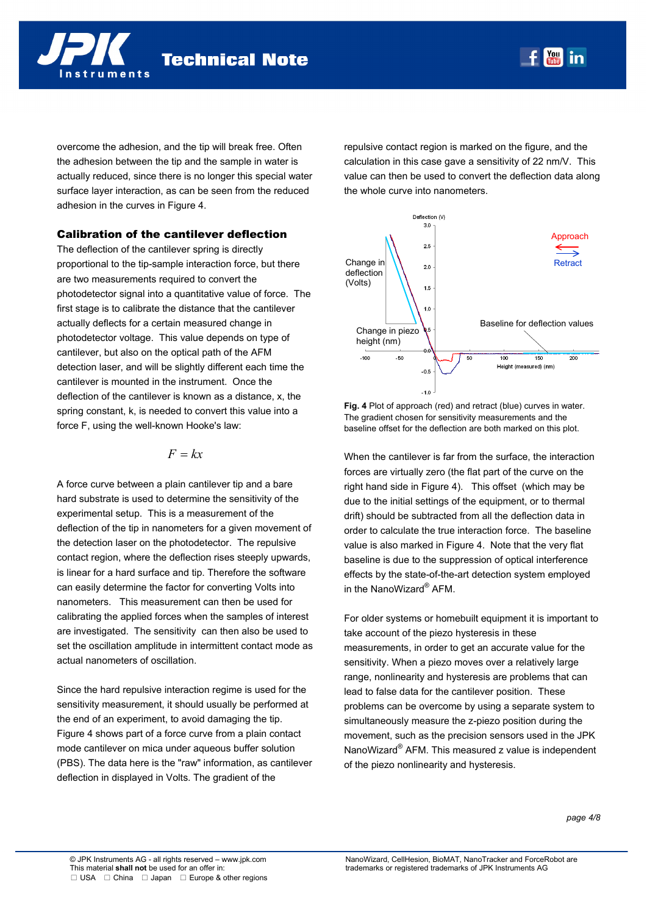

overcome the adhesion, and the tip will break free. Often the adhesion between the tip and the sample in water is actually reduced, since there is no longer this special water surface layer interaction, as can be seen from the reduced adhesion in the curves in Figure 4.

## Calibration of the cantilever deflection

The deflection of the cantilever spring is directly proportional to the tip-sample interaction force, but there are two measurements required to convert the photodetector signal into a quantitative value of force. The first stage is to calibrate the distance that the cantilever actually deflects for a certain measured change in photodetector voltage. This value depends on type of cantilever, but also on the optical path of the AFM detection laser, and will be slightly different each time the cantilever is mounted in the instrument. Once the deflection of the cantilever is known as a distance, x, the spring constant, k, is needed to convert this value into a force F, using the well-known Hooke's law:

$$
F = kx
$$

A force curve between a plain cantilever tip and a bare hard substrate is used to determine the sensitivity of the experimental setup. This is a measurement of the deflection of the tip in nanometers for a given movement of the detection laser on the photodetector. The repulsive contact region, where the deflection rises steeply upwards, is linear for a hard surface and tip. Therefore the software can easily determine the factor for converting Volts into nanometers. This measurement can then be used for calibrating the applied forces when the samples of interest are investigated. The sensitivity can then also be used to set the oscillation amplitude in intermittent contact mode as actual nanometers of oscillation.

Since the hard repulsive interaction regime is used for the sensitivity measurement, it should usually be performed at the end of an experiment, to avoid damaging the tip. Figure 4 shows part of a force curve from a plain contact mode cantilever on mica under aqueous buffer solution (PBS). The data here is the "raw" information, as cantilever deflection in displayed in Volts. The gradient of the

repulsive contact region is marked on the figure, and the calculation in this case gave a sensitivity of 22 nm/V. This value can then be used to convert the deflection data along the whole curve into nanometers.



**Fig. 4** Plot of approach (red) and retract (blue) curves in water. The gradient chosen for sensitivity measurements and the baseline offset for the deflection are both marked on this plot.

When the cantilever is far from the surface, the interaction forces are virtually zero (the flat part of the curve on the right hand side in Figure 4). This offset (which may be due to the initial settings of the equipment, or to thermal drift) should be subtracted from all the deflection data in order to calculate the true interaction force. The baseline value is also marked in Figure 4. Note that the very flat baseline is due to the suppression of optical interference effects by the state-of-the-art detection system employed in the NanoWizard® AFM.

For older systems or homebuilt equipment it is important to take account of the piezo hysteresis in these measurements, in order to get an accurate value for the sensitivity. When a piezo moves over a relatively large range, nonlinearity and hysteresis are problems that can lead to false data for the cantilever position. These problems can be overcome by using a separate system to simultaneously measure the z-piezo position during the movement, such as the precision sensors used in the JPK NanoWizard® AFM. This measured z value is independent of the piezo nonlinearity and hysteresis.

*page 4/8*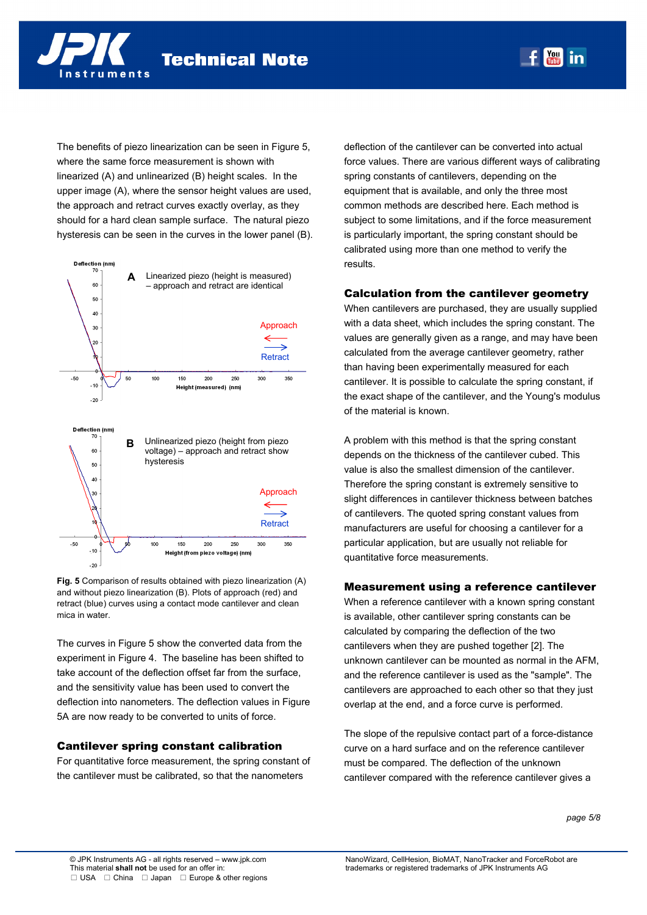The benefits of piezo linearization can be seen in Figure 5, where the same force measurement is shown with linearized (A) and unlinearized (B) height scales. In the upper image (A), where the sensor height values are used, the approach and retract curves exactly overlay, as they should for a hard clean sample surface. The natural piezo hysteresis can be seen in the curves in the lower panel (B).

truments



**Fig. 5** Comparison of results obtained with piezo linearization (A) and without piezo linearization (B). Plots of approach (red) and retract (blue) curves using a contact mode cantilever and clean mica in water.

The curves in Figure 5 show the converted data from the experiment in Figure 4. The baseline has been shifted to take account of the deflection offset far from the surface, and the sensitivity value has been used to convert the deflection into nanometers. The deflection values in Figure 5A are now ready to be converted to units of force.

## Cantilever spring constant calibration

For quantitative force measurement, the spring constant of the cantilever must be calibrated, so that the nanometers

deflection of the cantilever can be converted into actual force values. There are various different ways of calibrating spring constants of cantilevers, depending on the equipment that is available, and only the three most common methods are described here. Each method is subject to some limitations, and if the force measurement is particularly important, the spring constant should be calibrated using more than one method to verify the results.

 $\frac{You}{The}$  in

#### Calculation from the cantilever geometry

When cantilevers are purchased, they are usually supplied with a data sheet, which includes the spring constant. The values are generally given as a range, and may have been calculated from the average cantilever geometry, rather than having been experimentally measured for each cantilever. It is possible to calculate the spring constant, if the exact shape of the cantilever, and the Young's modulus of the material is known.

A problem with this method is that the spring constant depends on the thickness of the cantilever cubed. This value is also the smallest dimension of the cantilever. Therefore the spring constant is extremely sensitive to slight differences in cantilever thickness between batches of cantilevers. The quoted spring constant values from manufacturers are useful for choosing a cantilever for a particular application, but are usually not reliable for quantitative force measurements.

#### Measurement using a reference cantilever

When a reference cantilever with a known spring constant is available, other cantilever spring constants can be calculated by comparing the deflection of the two cantilevers when they are pushed together [2]. The unknown cantilever can be mounted as normal in the AFM, and the reference cantilever is used as the "sample". The cantilevers are approached to each other so that they just overlap at the end, and a force curve is performed.

The slope of the repulsive contact part of a force-distance curve on a hard surface and on the reference cantilever must be compared. The deflection of the unknown cantilever compared with the reference cantilever gives a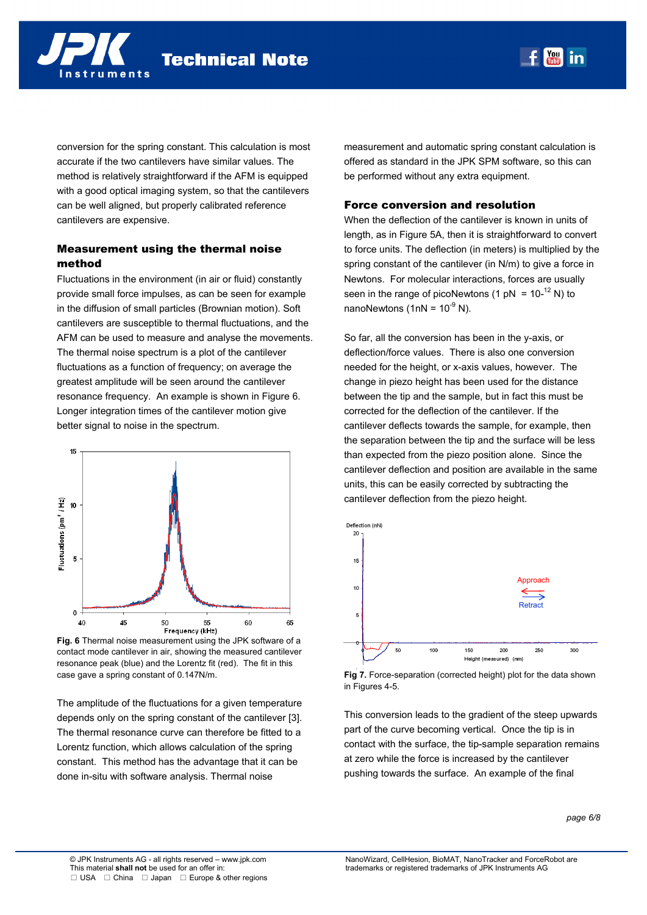nstruments

**Technical Note** 

conversion for the spring constant. This calculation is most accurate if the two cantilevers have similar values. The method is relatively straightforward if the AFM is equipped with a good optical imaging system, so that the cantilevers can be well aligned, but properly calibrated reference cantilevers are expensive.

# Measurement using the thermal noise method

Fluctuations in the environment (in air or fluid) constantly provide small force impulses, as can be seen for example in the diffusion of small particles (Brownian motion). Soft cantilevers are susceptible to thermal fluctuations, and the AFM can be used to measure and analyse the movements. The thermal noise spectrum is a plot of the cantilever fluctuations as a function of frequency; on average the greatest amplitude will be seen around the cantilever resonance frequency. An example is shown in Figure 6. Longer integration times of the cantilever motion give better signal to noise in the spectrum.



**Fig. 6** Thermal noise measurement using the JPK software of a contact mode cantilever in air, showing the measured cantilever resonance peak (blue) and the Lorentz fit (red). The fit in this case gave a spring constant of 0.147N/m.

The amplitude of the fluctuations for a given temperature depends only on the spring constant of the cantilever [3]. The thermal resonance curve can therefore be fitted to a Lorentz function, which allows calculation of the spring constant. This method has the advantage that it can be done in-situ with software analysis. Thermal noise

measurement and automatic spring constant calculation is offered as standard in the JPK SPM software, so this can be performed without any extra equipment.

#### Force conversion and resolution

When the deflection of the cantilever is known in units of length, as in Figure 5A, then it is straightforward to convert to force units. The deflection (in meters) is multiplied by the spring constant of the cantilever (in N/m) to give a force in Newtons. For molecular interactions, forces are usually seen in the range of picoNewtons (1 pN =  $10^{-12}$  N) to nanoNewtons (1nN =  $10^{-9}$  N).

So far, all the conversion has been in the y-axis, or deflection/force values. There is also one conversion needed for the height, or x-axis values, however. The change in piezo height has been used for the distance between the tip and the sample, but in fact this must be corrected for the deflection of the cantilever. If the cantilever deflects towards the sample, for example, then the separation between the tip and the surface will be less than expected from the piezo position alone. Since the cantilever deflection and position are available in the same units, this can be easily corrected by subtracting the cantilever deflection from the piezo height.





This conversion leads to the gradient of the steep upwards part of the curve becoming vertical. Once the tip is in contact with the surface, the tip-sample separation remains at zero while the force is increased by the cantilever pushing towards the surface. An example of the final

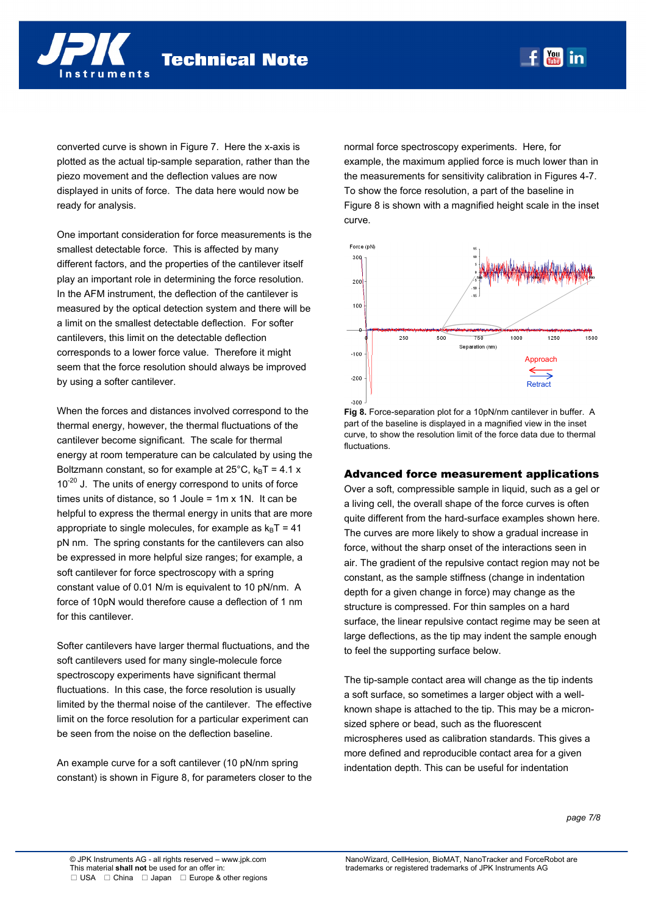converted curve is shown in Figure 7. Here the x-axis is plotted as the actual tip-sample separation, rather than the piezo movement and the deflection values are now displayed in units of force. The data here would now be ready for analysis.

One important consideration for force measurements is the smallest detectable force. This is affected by many different factors, and the properties of the cantilever itself play an important role in determining the force resolution. In the AFM instrument, the deflection of the cantilever is measured by the optical detection system and there will be a limit on the smallest detectable deflection. For softer cantilevers, this limit on the detectable deflection corresponds to a lower force value. Therefore it might seem that the force resolution should always be improved by using a softer cantilever.

When the forces and distances involved correspond to the thermal energy, however, the thermal fluctuations of the cantilever become significant. The scale for thermal energy at room temperature can be calculated by using the Boltzmann constant, so for example at  $25^{\circ}$ C, k<sub>B</sub>T = 4.1 x  $10^{-20}$  J. The units of energy correspond to units of force times units of distance, so 1 Joule = 1m x 1N. It can be helpful to express the thermal energy in units that are more appropriate to single molecules, for example as  $k_B T = 41$ pN nm. The spring constants for the cantilevers can also be expressed in more helpful size ranges; for example, a soft cantilever for force spectroscopy with a spring constant value of 0.01 N/m is equivalent to 10 pN/nm. A force of 10pN would therefore cause a deflection of 1 nm for this cantilever.

Softer cantilevers have larger thermal fluctuations, and the soft cantilevers used for many single-molecule force spectroscopy experiments have significant thermal fluctuations. In this case, the force resolution is usually limited by the thermal noise of the cantilever. The effective limit on the force resolution for a particular experiment can be seen from the noise on the deflection baseline.

An example curve for a soft cantilever (10 pN/nm spring constant) is shown in Figure 8, for parameters closer to the normal force spectroscopy experiments. Here, for example, the maximum applied force is much lower than in the measurements for sensitivity calibration in Figures 4-7. To show the force resolution, a part of the baseline in Figure 8 is shown with a magnified height scale in the inset curve.



**Fig 8.** Force-separation plot for a 10pN/nm cantilever in buffer. A part of the baseline is displayed in a magnified view in the inset curve, to show the resolution limit of the force data due to thermal fluctuations.

## Advanced force measurement applications

Over a soft, compressible sample in liquid, such as a gel or a living cell, the overall shape of the force curves is often quite different from the hard-surface examples shown here. The curves are more likely to show a gradual increase in force, without the sharp onset of the interactions seen in air. The gradient of the repulsive contact region may not be constant, as the sample stiffness (change in indentation depth for a given change in force) may change as the structure is compressed. For thin samples on a hard surface, the linear repulsive contact regime may be seen at large deflections, as the tip may indent the sample enough to feel the supporting surface below.

The tip-sample contact area will change as the tip indents a soft surface, so sometimes a larger object with a wellknown shape is attached to the tip. This may be a micronsized sphere or bead, such as the fluorescent microspheres used as calibration standards. This gives a more defined and reproducible contact area for a given indentation depth. This can be useful for indentation

*page 7/8*